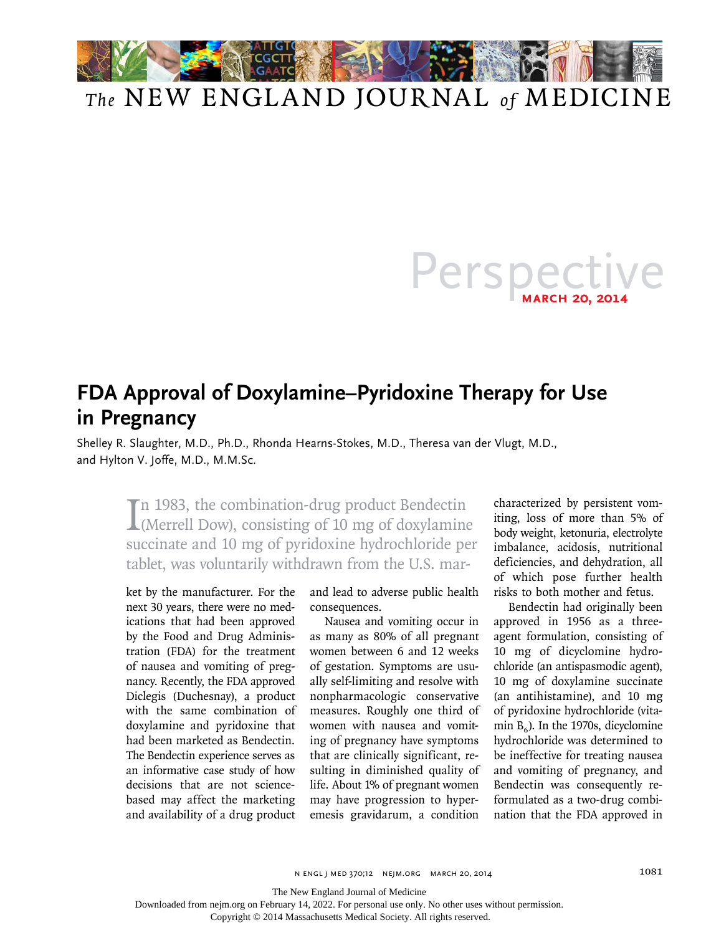

## *The* NEW ENGLAND JOURNAL *of* MEDICINE

## Persper **march 20, 2014**

## **FDA Approval of Doxylamine–Pyridoxine Therapy for Use in Pregnancy**

Shelley R. Slaughter, M.D., Ph.D., Rhonda Hearns-Stokes, M.D., Theresa van der Vlugt, M.D., and Hylton V. Joffe, M.D., M.M.Sc.

> In 1983, the combination-drug product Bendectin<br>(Merrell Dow), consisting of 10 mg of doxylamine **L**(Merrell Dow), consisting of 10 mg of doxylamine succinate and 10 mg of pyridoxine hydrochloride per tablet, was voluntarily withdrawn from the U.S. mar-

ket by the manufacturer. For the next 30 years, there were no medications that had been approved by the Food and Drug Administration (FDA) for the treatment of nausea and vomiting of pregnancy. Recently, the FDA approved Diclegis (Duchesnay), a product with the same combination of doxylamine and pyridoxine that had been marketed as Bendectin. The Bendectin experience serves as an informative case study of how decisions that are not sciencebased may affect the marketing and availability of a drug product and lead to adverse public health consequences.

Nausea and vomiting occur in as many as 80% of all pregnant women between 6 and 12 weeks of gestation. Symptoms are usually self-limiting and resolve with nonpharmacologic conservative measures. Roughly one third of women with nausea and vomiting of pregnancy have symptoms that are clinically significant, resulting in diminished quality of life. About 1% of pregnant women may have progression to hyperemesis gravidarum, a condition

characterized by persistent vomiting, loss of more than 5% of body weight, ketonuria, electrolyte imbalance, acidosis, nutritional deficiencies, and dehydration, all of which pose further health risks to both mother and fetus.

Bendectin had originally been approved in 1956 as a threeagent formulation, consisting of 10 mg of dicyclomine hydrochloride (an antispasmodic agent), 10 mg of doxylamine succinate (an antihistamine), and 10 mg of pyridoxine hydrochloride (vitamin  $B_6$ ). In the 1970s, dicyclomine hydrochloride was determined to be ineffective for treating nausea and vomiting of pregnancy, and Bendectin was consequently reformulated as a two-drug combination that the FDA approved in

The New England Journal of Medicine

Downloaded from nejm.org on February 14, 2022. For personal use only. No other uses without permission.

Copyright © 2014 Massachusetts Medical Society. All rights reserved.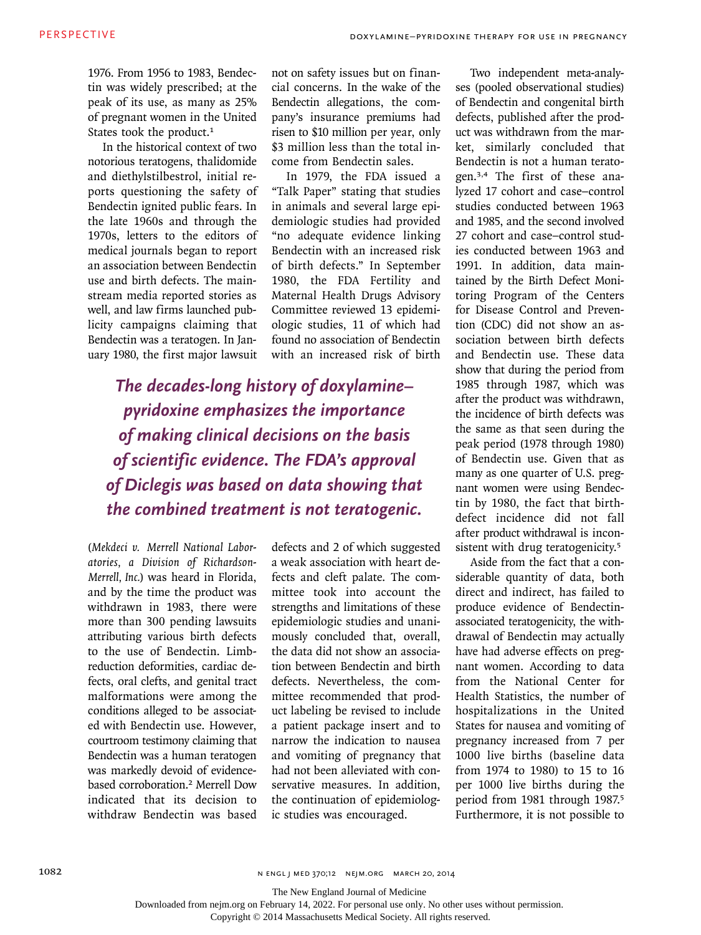1976. From 1956 to 1983, Bendectin was widely prescribed; at the peak of its use, as many as 25% of pregnant women in the United States took the product.<sup>1</sup>

In the historical context of two notorious teratogens, thalidomide and diethylstilbestrol, initial reports questioning the safety of Bendectin ignited public fears. In the late 1960s and through the 1970s, letters to the editors of medical journals began to report an association between Bendectin use and birth defects. The mainstream media reported stories as well, and law firms launched publicity campaigns claiming that Bendectin was a teratogen. In January 1980, the first major lawsuit

not on safety issues but on financial concerns. In the wake of the Bendectin allegations, the company's insurance premiums had risen to \$10 million per year, only \$3 million less than the total income from Bendectin sales.

In 1979, the FDA issued a "Talk Paper" stating that studies in animals and several large epidemiologic studies had provided "no adequate evidence linking Bendectin with an increased risk of birth defects." In September 1980, the FDA Fertility and Maternal Health Drugs Advisory Committee reviewed 13 epidemiologic studies, 11 of which had found no association of Bendectin with an increased risk of birth

*The decades-long history of doxylamine– pyridoxine emphasizes the importance of making clinical decisions on the basis of scientific evidence. The FDA's approval of Diclegis was based on data showing that the combined treatment is not teratogenic.*

(*Mekdeci v. Merrell National Laboratories, a Division of Richardson-Merrell, Inc.*) was heard in Florida, and by the time the product was withdrawn in 1983, there were more than 300 pending lawsuits attributing various birth defects to the use of Bendectin. Limbreduction deformities, cardiac defects, oral clefts, and genital tract malformations were among the conditions alleged to be associated with Bendectin use. However, courtroom testimony claiming that Bendectin was a human teratogen was markedly devoid of evidencebased corroboration.2 Merrell Dow indicated that its decision to withdraw Bendectin was based

defects and 2 of which suggested a weak association with heart defects and cleft palate. The committee took into account the strengths and limitations of these epidemiologic studies and unanimously concluded that, overall, the data did not show an association between Bendectin and birth defects. Nevertheless, the committee recommended that product labeling be revised to include a patient package insert and to narrow the indication to nausea and vomiting of pregnancy that had not been alleviated with conservative measures. In addition, the continuation of epidemiologic studies was encouraged.

Two independent meta-analyses (pooled observational studies) of Bendectin and congenital birth defects, published after the product was withdrawn from the market, similarly concluded that Bendectin is not a human teratogen.3,4 The first of these analyzed 17 cohort and case–control studies conducted between 1963 and 1985, and the second involved 27 cohort and case–control studies conducted between 1963 and 1991. In addition, data maintained by the Birth Defect Monitoring Program of the Centers for Disease Control and Prevention (CDC) did not show an association between birth defects and Bendectin use. These data show that during the period from 1985 through 1987, which was after the product was withdrawn, the incidence of birth defects was the same as that seen during the peak period (1978 through 1980) of Bendectin use. Given that as many as one quarter of U.S. pregnant women were using Bendectin by 1980, the fact that birthdefect incidence did not fall after product withdrawal is inconsistent with drug teratogenicity.<sup>5</sup>

Aside from the fact that a considerable quantity of data, both direct and indirect, has failed to produce evidence of Bendectinassociated teratogenicity, the withdrawal of Bendectin may actually have had adverse effects on pregnant women. According to data from the National Center for Health Statistics, the number of hospitalizations in the United States for nausea and vomiting of pregnancy increased from 7 per 1000 live births (baseline data from 1974 to 1980) to 15 to 16 per 1000 live births during the period from 1981 through 1987.<sup>5</sup> Furthermore, it is not possible to

1082 **n engl j med 370;12 nejm.org march 20, 2014** 

The New England Journal of Medicine

Downloaded from nejm.org on February 14, 2022. For personal use only. No other uses without permission.

Copyright © 2014 Massachusetts Medical Society. All rights reserved.